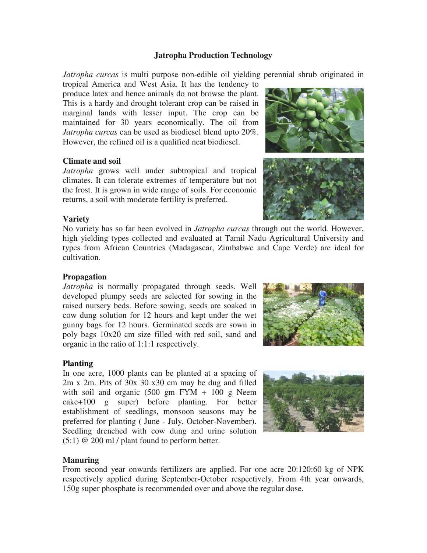# **Jatropha Production Technology**

*Jatropha curcas* is multi purpose non-edible oil yielding perennial shrub originated in

tropical America and West Asia. It has the tendency to produce latex and hence animals do not browse the plant. This is a hardy and drought tolerant crop can be raised in marginal lands with lesser input. The crop can be maintained for 30 years economically. The oil from *Jatropha curcas* can be used as biodiesel blend upto 20%. However, the refined oil is a qualified neat biodiesel.

# **Climate and soil**

*Jatropha* grows well under subtropical and tropical climates. It can tolerate extremes of temperature but not the frost. It is grown in wide range of soils. For economic returns, a soil with moderate fertility is preferred.

# **Variety**

No variety has so far been evolved in *Jatropha curcas* through out the world*.* However, high yielding types collected and evaluated at Tamil Nadu Agricultural University and types from African Countries (Madagascar, Zimbabwe and Cape Verde) are ideal for cultivation.

## **Propagation**

*Jatropha* is normally propagated through seeds. Well developed plumpy seeds are selected for sowing in the raised nursery beds. Before sowing, seeds are soaked in cow dung solution for 12 hours and kept under the wet gunny bags for 12 hours. Germinated seeds are sown in poly bags 10x20 cm size filled with red soil, sand and organic in the ratio of  $1:1:1$  respectively.

### **Planting**

In one acre, 1000 plants can be planted at a spacing of 2m x 2m. Pits of 30x 30 x30 cm may be dug and filled with soil and organic  $(500 \text{ gm} \text{ FYM} + 100 \text{ g} \text{ N}$ eem cake+100 g super) before planting. For better establishment of seedlings, monsoon seasons may be preferred for planting ( June - July, October-November). Seedling drenched with cow dung and urine solution  $(5:1)$  @ 200 ml / plant found to perform better.



# **Manuring**

From second year onwards fertilizers are applied. For one acre 20:120:60 kg of NPK respectively applied during September-October respectively. From 4th year onwards, 150g super phosphate is recommended over and above the regular dose.